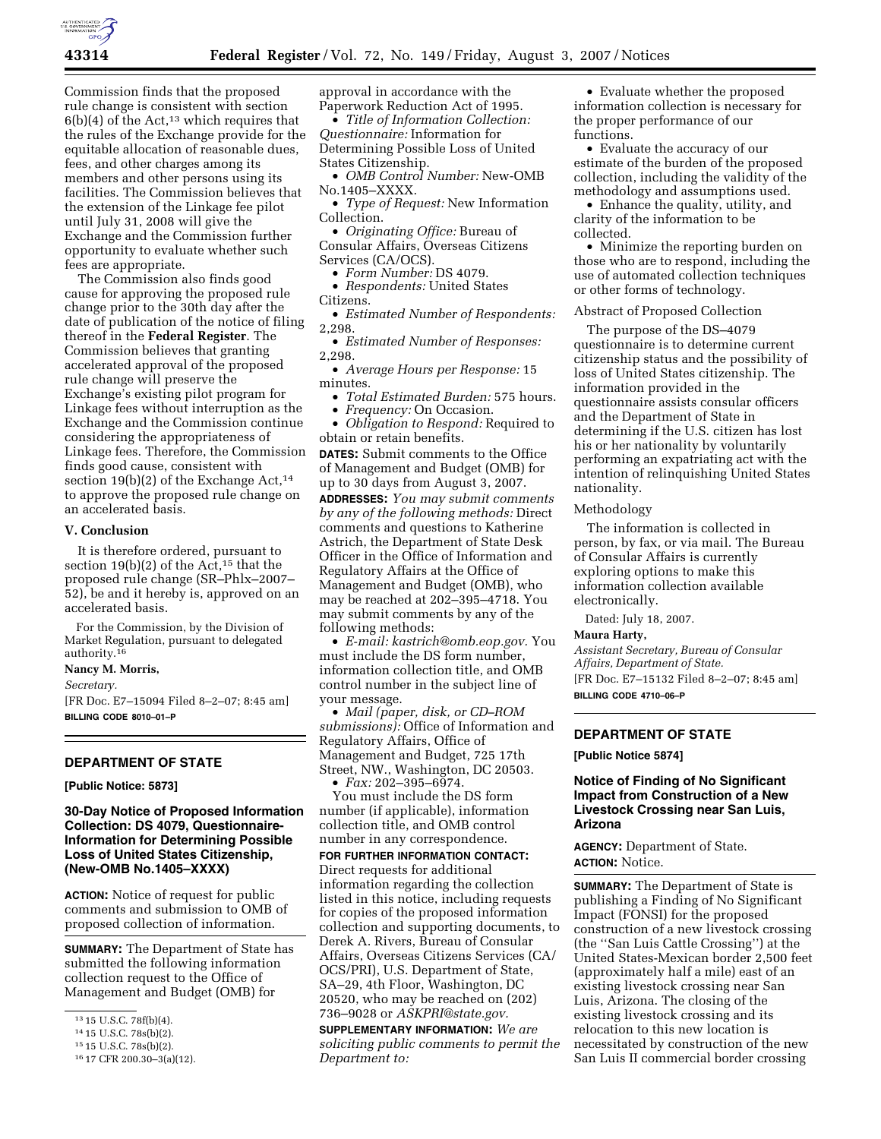

Commission finds that the proposed rule change is consistent with section  $6(b)(4)$  of the Act,<sup>13</sup> which requires that the rules of the Exchange provide for the equitable allocation of reasonable dues, fees, and other charges among its members and other persons using its facilities. The Commission believes that the extension of the Linkage fee pilot until July 31, 2008 will give the Exchange and the Commission further opportunity to evaluate whether such fees are appropriate.

The Commission also finds good cause for approving the proposed rule change prior to the 30th day after the date of publication of the notice of filing thereof in the **Federal Register**. The Commission believes that granting accelerated approval of the proposed rule change will preserve the Exchange's existing pilot program for Linkage fees without interruption as the Exchange and the Commission continue considering the appropriateness of Linkage fees. Therefore, the Commission finds good cause, consistent with section 19(b)(2) of the Exchange Act,<sup>14</sup> to approve the proposed rule change on an accelerated basis.

## **V. Conclusion**

It is therefore ordered, pursuant to section  $19(b)(2)$  of the Act,<sup>15</sup> that the proposed rule change (SR–Phlx–2007– 52), be and it hereby is, approved on an accelerated basis.

For the Commission, by the Division of Market Regulation, pursuant to delegated authority.16

## **Nancy M. Morris,**

*Secretary.* 

[FR Doc. E7–15094 Filed 8–2–07; 8:45 am] **BILLING CODE 8010–01–P** 

### **DEPARTMENT OF STATE**

**[Public Notice: 5873]** 

**30-Day Notice of Proposed Information Collection: DS 4079, Questionnaire-Information for Determining Possible Loss of United States Citizenship, (New-OMB No.1405–XXXX)** 

**ACTION:** Notice of request for public comments and submission to OMB of proposed collection of information.

**SUMMARY:** The Department of State has submitted the following information collection request to the Office of Management and Budget (OMB) for

approval in accordance with the Paperwork Reduction Act of 1995.

• *Title of Information Collection: Questionnaire:* Information for Determining Possible Loss of United States Citizenship.

• *OMB Control Number:* New-OMB No.1405–XXXX.

• *Type of Request:* New Information Collection.

• *Originating Office:* Bureau of Consular Affairs, Overseas Citizens

Services (CA/OCS).

• *Form Number:* DS 4079.

• *Respondents:* United States Citizens.

• *Estimated Number of Respondents:*  2,298.

• *Estimated Number of Responses:*  2,298.

- *Average Hours per Response:* 15 minutes.
	- *Total Estimated Burden:* 575 hours.

• *Frequency:* On Occasion.

• *Obligation to Respond:* Required to obtain or retain benefits.

**DATES:** Submit comments to the Office of Management and Budget (OMB) for up to 30 days from August 3, 2007. **ADDRESSES:** *You may submit comments by any of the following methods:* Direct comments and questions to Katherine Astrich, the Department of State Desk Officer in the Office of Information and Regulatory Affairs at the Office of Management and Budget (OMB), who may be reached at 202–395–4718. You may submit comments by any of the following methods:

• *E-mail: kastrich@omb.eop.gov.* You must include the DS form number, information collection title, and OMB control number in the subject line of your message.

• *Mail (paper, disk, or CD–ROM submissions):* Office of Information and Regulatory Affairs, Office of Management and Budget, 725 17th Street, NW., Washington, DC 20503. • *Fax:* 202–395–6974.

You must include the DS form number (if applicable), information collection title, and OMB control number in any correspondence. **FOR FURTHER INFORMATION CONTACT:**  Direct requests for additional information regarding the collection listed in this notice, including requests for copies of the proposed information collection and supporting documents, to Derek A. Rivers, Bureau of Consular Affairs, Overseas Citizens Services (CA/ OCS/PRI), U.S. Department of State, SA–29, 4th Floor, Washington, DC 20520, who may be reached on (202) 736–9028 or *ASKPRI@state.gov.* 

**SUPPLEMENTARY INFORMATION:** *We are soliciting public comments to permit the Department to:* 

• Evaluate whether the proposed information collection is necessary for the proper performance of our functions.

• Evaluate the accuracy of our estimate of the burden of the proposed collection, including the validity of the methodology and assumptions used.

• Enhance the quality, utility, and clarity of the information to be collected.

• Minimize the reporting burden on those who are to respond, including the use of automated collection techniques or other forms of technology.

#### Abstract of Proposed Collection

The purpose of the DS–4079 questionnaire is to determine current citizenship status and the possibility of loss of United States citizenship. The information provided in the questionnaire assists consular officers and the Department of State in determining if the U.S. citizen has lost his or her nationality by voluntarily performing an expatriating act with the intention of relinquishing United States nationality.

#### Methodology

The information is collected in person, by fax, or via mail. The Bureau of Consular Affairs is currently exploring options to make this information collection available electronically.

Dated: July 18, 2007.

## **Maura Harty,**

*Assistant Secretary, Bureau of Consular Affairs, Department of State.*  [FR Doc. E7–15132 Filed 8–2–07; 8:45 am] **BILLING CODE 4710–06–P** 

# **DEPARTMENT OF STATE**

**[Public Notice 5874]** 

## **Notice of Finding of No Significant Impact from Construction of a New Livestock Crossing near San Luis, Arizona**

**AGENCY:** Department of State. **ACTION:** Notice.

**SUMMARY:** The Department of State is publishing a Finding of No Significant Impact (FONSI) for the proposed construction of a new livestock crossing (the ''San Luis Cattle Crossing'') at the United States-Mexican border 2,500 feet (approximately half a mile) east of an existing livestock crossing near San Luis, Arizona. The closing of the existing livestock crossing and its relocation to this new location is necessitated by construction of the new San Luis II commercial border crossing

<sup>13</sup> 15 U.S.C. 78f(b)(4).

<sup>14</sup> 15 U.S.C. 78s(b)(2).

<sup>15</sup> 15 U.S.C. 78s(b)(2).

<sup>16</sup> 17 CFR 200.30–3(a)(12).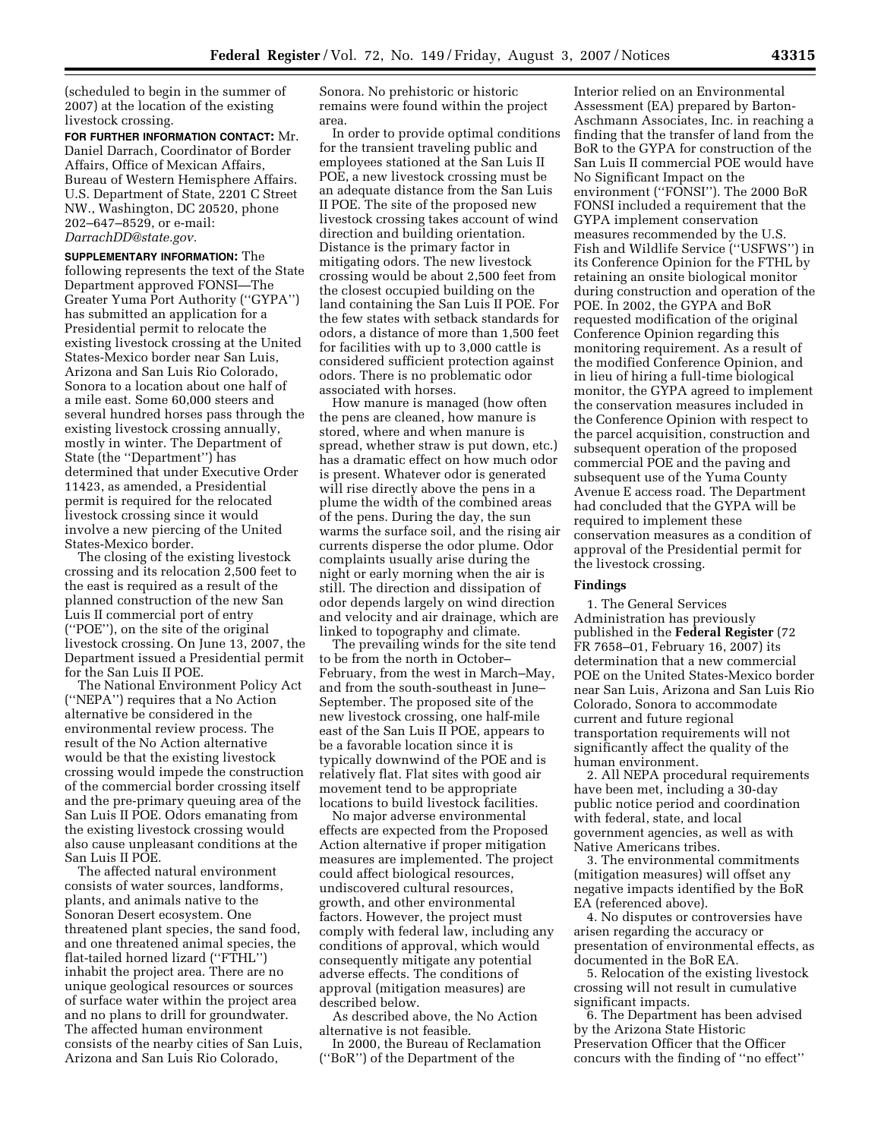(scheduled to begin in the summer of 2007) at the location of the existing livestock crossing.

**FOR FURTHER INFORMATION CONTACT:** Mr. Daniel Darrach, Coordinator of Border Affairs, Office of Mexican Affairs, Bureau of Western Hemisphere Affairs. U.S. Department of State, 2201 C Street NW., Washington, DC 20520, phone 202–647–8529, or e-mail: *DarrachDD@state.gov.* 

**SUPPLEMENTARY INFORMATION:** The following represents the text of the State Department approved FONSI—The Greater Yuma Port Authority (''GYPA'') has submitted an application for a Presidential permit to relocate the existing livestock crossing at the United States-Mexico border near San Luis, Arizona and San Luis Rio Colorado, Sonora to a location about one half of a mile east. Some 60,000 steers and several hundred horses pass through the existing livestock crossing annually, mostly in winter. The Department of State (the ''Department'') has determined that under Executive Order 11423, as amended, a Presidential permit is required for the relocated livestock crossing since it would involve a new piercing of the United States-Mexico border.

The closing of the existing livestock crossing and its relocation 2,500 feet to the east is required as a result of the planned construction of the new San Luis II commercial port of entry (''POE''), on the site of the original livestock crossing. On June 13, 2007, the Department issued a Presidential permit for the San Luis II POE.

The National Environment Policy Act (''NEPA'') requires that a No Action alternative be considered in the environmental review process. The result of the No Action alternative would be that the existing livestock crossing would impede the construction of the commercial border crossing itself and the pre-primary queuing area of the San Luis II POE. Odors emanating from the existing livestock crossing would also cause unpleasant conditions at the San Luis II POE.

The affected natural environment consists of water sources, landforms, plants, and animals native to the Sonoran Desert ecosystem. One threatened plant species, the sand food, and one threatened animal species, the flat-tailed horned lizard (''FTHL'') inhabit the project area. There are no unique geological resources or sources of surface water within the project area and no plans to drill for groundwater. The affected human environment consists of the nearby cities of San Luis, Arizona and San Luis Rio Colorado,

Sonora. No prehistoric or historic remains were found within the project area.

In order to provide optimal conditions for the transient traveling public and employees stationed at the San Luis II POE, a new livestock crossing must be an adequate distance from the San Luis II POE. The site of the proposed new livestock crossing takes account of wind direction and building orientation. Distance is the primary factor in mitigating odors. The new livestock crossing would be about 2,500 feet from the closest occupied building on the land containing the San Luis II POE. For the few states with setback standards for odors, a distance of more than 1,500 feet for facilities with up to 3,000 cattle is considered sufficient protection against odors. There is no problematic odor associated with horses.

How manure is managed (how often the pens are cleaned, how manure is stored, where and when manure is spread, whether straw is put down, etc.) has a dramatic effect on how much odor is present. Whatever odor is generated will rise directly above the pens in a plume the width of the combined areas of the pens. During the day, the sun warms the surface soil, and the rising air currents disperse the odor plume. Odor complaints usually arise during the night or early morning when the air is still. The direction and dissipation of odor depends largely on wind direction and velocity and air drainage, which are linked to topography and climate.

The prevailing winds for the site tend to be from the north in October– February, from the west in March–May, and from the south-southeast in June– September. The proposed site of the new livestock crossing, one half-mile east of the San Luis II POE, appears to be a favorable location since it is typically downwind of the POE and is relatively flat. Flat sites with good air movement tend to be appropriate locations to build livestock facilities.

No major adverse environmental effects are expected from the Proposed Action alternative if proper mitigation measures are implemented. The project could affect biological resources, undiscovered cultural resources, growth, and other environmental factors. However, the project must comply with federal law, including any conditions of approval, which would consequently mitigate any potential adverse effects. The conditions of approval (mitigation measures) are described below.

As described above, the No Action alternative is not feasible.

In 2000, the Bureau of Reclamation (''BoR'') of the Department of the

Interior relied on an Environmental Assessment (EA) prepared by Barton-Aschmann Associates, Inc. in reaching a finding that the transfer of land from the BoR to the GYPA for construction of the San Luis II commercial POE would have No Significant Impact on the environment (''FONSI''). The 2000 BoR FONSI included a requirement that the GYPA implement conservation measures recommended by the U.S. Fish and Wildlife Service (''USFWS'') in its Conference Opinion for the FTHL by retaining an onsite biological monitor during construction and operation of the POE. In 2002, the GYPA and BoR requested modification of the original Conference Opinion regarding this monitoring requirement. As a result of the modified Conference Opinion, and in lieu of hiring a full-time biological monitor, the GYPA agreed to implement the conservation measures included in the Conference Opinion with respect to the parcel acquisition, construction and subsequent operation of the proposed commercial POE and the paving and subsequent use of the Yuma County Avenue E access road. The Department had concluded that the GYPA will be required to implement these conservation measures as a condition of approval of the Presidential permit for the livestock crossing.

### **Findings**

1. The General Services Administration has previously published in the **Federal Register** (72 FR 7658–01, February 16, 2007) its determination that a new commercial POE on the United States-Mexico border near San Luis, Arizona and San Luis Rio Colorado, Sonora to accommodate current and future regional transportation requirements will not significantly affect the quality of the human environment.

2. All NEPA procedural requirements have been met, including a 30-day public notice period and coordination with federal, state, and local government agencies, as well as with Native Americans tribes.

3. The environmental commitments (mitigation measures) will offset any negative impacts identified by the BoR EA (referenced above).

4. No disputes or controversies have arisen regarding the accuracy or presentation of environmental effects, as documented in the BoR EA.

5. Relocation of the existing livestock crossing will not result in cumulative significant impacts.

6. The Department has been advised by the Arizona State Historic Preservation Officer that the Officer concurs with the finding of ''no effect''